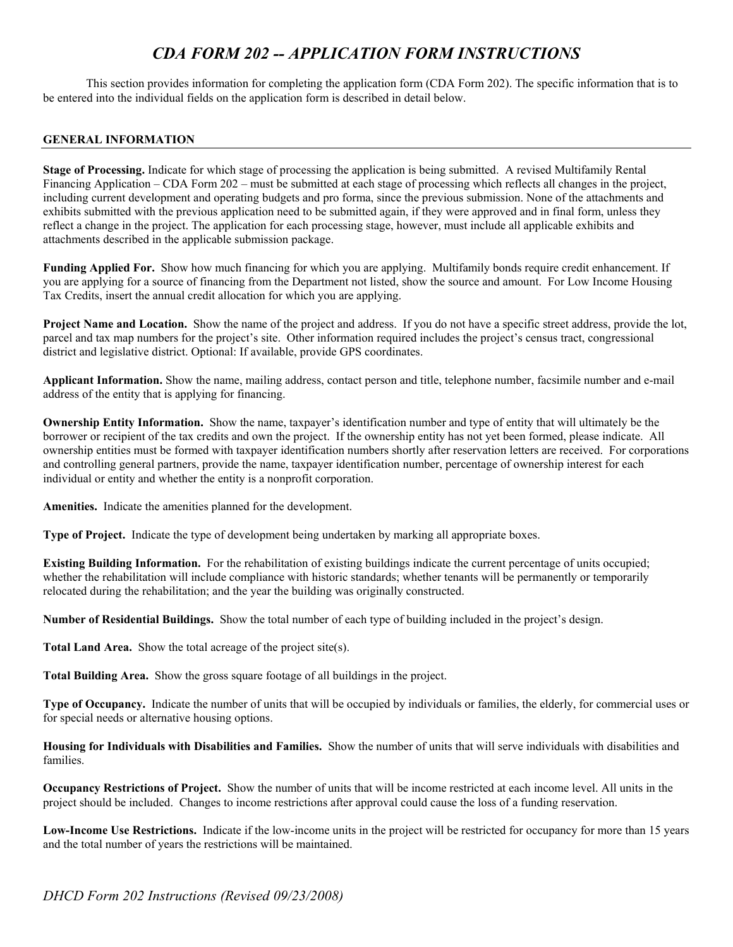# *CDA FORM 202 -- APPLICATION FORM INSTRUCTIONS*

This section provides information for completing the application form (CDA Form 202). The specific information that is to be entered into the individual fields on the application form is described in detail below.

## **GENERAL INFORMATION**

**Stage of Processing.** Indicate for which stage of processing the application is being submitted. A revised Multifamily Rental Financing Application – CDA Form 202 – must be submitted at each stage of processing which reflects all changes in the project, including current development and operating budgets and pro forma, since the previous submission. None of the attachments and exhibits submitted with the previous application need to be submitted again, if they were approved and in final form, unless they reflect a change in the project. The application for each processing stage, however, must include all applicable exhibits and attachments described in the applicable submission package.

**Funding Applied For.** Show how much financing for which you are applying. Multifamily bonds require credit enhancement. If you are applying for a source of financing from the Department not listed, show the source and amount. For Low Income Housing Tax Credits, insert the annual credit allocation for which you are applying.

**Project Name and Location.** Show the name of the project and address. If you do not have a specific street address, provide the lot, parcel and tax map numbers for the project's site. Other information required includes the project's census tract, congressional district and legislative district. Optional: If available, provide GPS coordinates.

**Applicant Information.** Show the name, mailing address, contact person and title, telephone number, facsimile number and e-mail address of the entity that is applying for financing.

**Ownership Entity Information.** Show the name, taxpayer's identification number and type of entity that will ultimately be the borrower or recipient of the tax credits and own the project. If the ownership entity has not yet been formed, please indicate. All ownership entities must be formed with taxpayer identification numbers shortly after reservation letters are received. For corporations and controlling general partners, provide the name, taxpayer identification number, percentage of ownership interest for each individual or entity and whether the entity is a nonprofit corporation.

**Amenities.** Indicate the amenities planned for the development.

**Type of Project.** Indicate the type of development being undertaken by marking all appropriate boxes.

**Existing Building Information.** For the rehabilitation of existing buildings indicate the current percentage of units occupied; whether the rehabilitation will include compliance with historic standards; whether tenants will be permanently or temporarily relocated during the rehabilitation; and the year the building was originally constructed.

**Number of Residential Buildings.** Show the total number of each type of building included in the project's design.

**Total Land Area.** Show the total acreage of the project site(s).

**Total Building Area.** Show the gross square footage of all buildings in the project.

**Type of Occupancy.** Indicate the number of units that will be occupied by individuals or families, the elderly, for commercial uses or for special needs or alternative housing options.

**Housing for Individuals with Disabilities and Families.** Show the number of units that will serve individuals with disabilities and families.

**Occupancy Restrictions of Project.** Show the number of units that will be income restricted at each income level. All units in the project should be included. Changes to income restrictions after approval could cause the loss of a funding reservation.

**Low-Income Use Restrictions.** Indicate if the low-income units in the project will be restricted for occupancy for more than 15 years and the total number of years the restrictions will be maintained.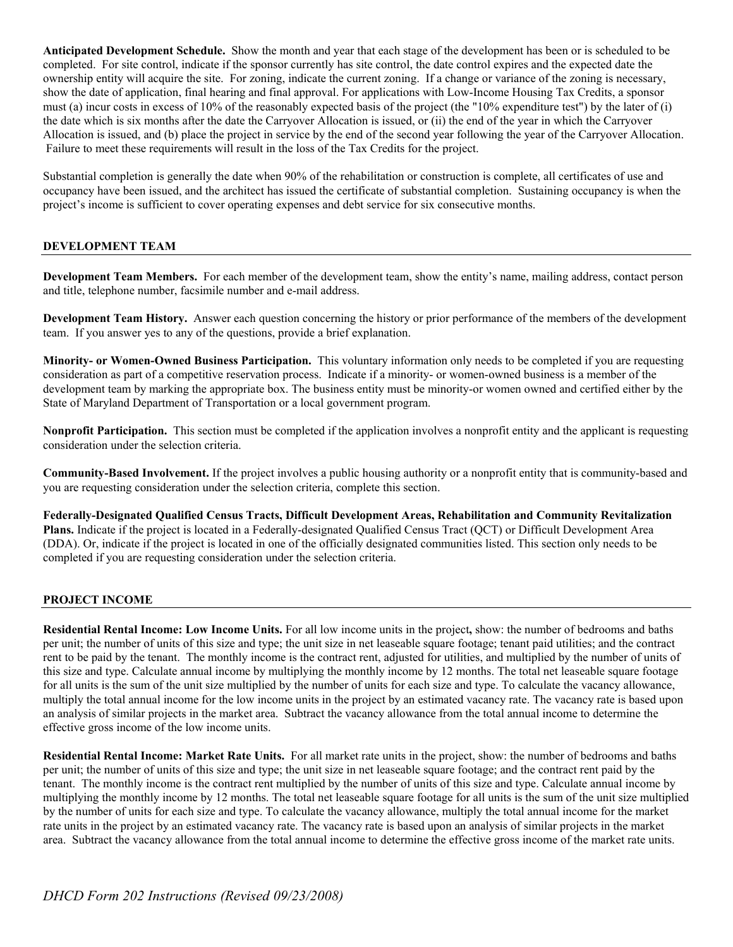**Anticipated Development Schedule.** Show the month and year that each stage of the development has been or is scheduled to be completed. For site control, indicate if the sponsor currently has site control, the date control expires and the expected date the ownership entity will acquire the site. For zoning, indicate the current zoning. If a change or variance of the zoning is necessary, show the date of application, final hearing and final approval. For applications with Low-Income Housing Tax Credits, a sponsor must (a) incur costs in excess of 10% of the reasonably expected basis of the project (the "10% expenditure test") by the later of (i) the date which is six months after the date the Carryover Allocation is issued, or (ii) the end of the year in which the Carryover Allocation is issued, and (b) place the project in service by the end of the second year following the year of the Carryover Allocation. Failure to meet these requirements will result in the loss of the Tax Credits for the project.

Substantial completion is generally the date when 90% of the rehabilitation or construction is complete, all certificates of use and occupancy have been issued, and the architect has issued the certificate of substantial completion. Sustaining occupancy is when the project's income is sufficient to cover operating expenses and debt service for six consecutive months.

## **DEVELOPMENT TEAM**

**Development Team Members.** For each member of the development team, show the entity's name, mailing address, contact person and title, telephone number, facsimile number and e-mail address.

**Development Team History.** Answer each question concerning the history or prior performance of the members of the development team. If you answer yes to any of the questions, provide a brief explanation.

**Minority- or Women-Owned Business Participation.** This voluntary information only needs to be completed if you are requesting consideration as part of a competitive reservation process. Indicate if a minority- or women-owned business is a member of the development team by marking the appropriate box. The business entity must be minority-or women owned and certified either by the State of Maryland Department of Transportation or a local government program.

**Nonprofit Participation.** This section must be completed if the application involves a nonprofit entity and the applicant is requesting consideration under the selection criteria.

**Community-Based Involvement.** If the project involves a public housing authority or a nonprofit entity that is community-based and you are requesting consideration under the selection criteria, complete this section.

**Federally-Designated Qualified Census Tracts, Difficult Development Areas, Rehabilitation and Community Revitalization Plans.** Indicate if the project is located in a Federally-designated Qualified Census Tract (QCT) or Difficult Development Area (DDA). Or, indicate if the project is located in one of the officially designated communities listed. This section only needs to be completed if you are requesting consideration under the selection criteria.

### **PROJECT INCOME**

**Residential Rental Income: Low Income Units.** For all low income units in the project**,** show: the number of bedrooms and baths per unit; the number of units of this size and type; the unit size in net leaseable square footage; tenant paid utilities; and the contract rent to be paid by the tenant. The monthly income is the contract rent, adjusted for utilities, and multiplied by the number of units of this size and type. Calculate annual income by multiplying the monthly income by 12 months. The total net leaseable square footage for all units is the sum of the unit size multiplied by the number of units for each size and type. To calculate the vacancy allowance, multiply the total annual income for the low income units in the project by an estimated vacancy rate. The vacancy rate is based upon an analysis of similar projects in the market area. Subtract the vacancy allowance from the total annual income to determine the effective gross income of the low income units.

**Residential Rental Income: Market Rate Units.** For all market rate units in the project, show: the number of bedrooms and baths per unit; the number of units of this size and type; the unit size in net leaseable square footage; and the contract rent paid by the tenant. The monthly income is the contract rent multiplied by the number of units of this size and type. Calculate annual income by multiplying the monthly income by 12 months. The total net leaseable square footage for all units is the sum of the unit size multiplied by the number of units for each size and type. To calculate the vacancy allowance, multiply the total annual income for the market rate units in the project by an estimated vacancy rate. The vacancy rate is based upon an analysis of similar projects in the market area. Subtract the vacancy allowance from the total annual income to determine the effective gross income of the market rate units.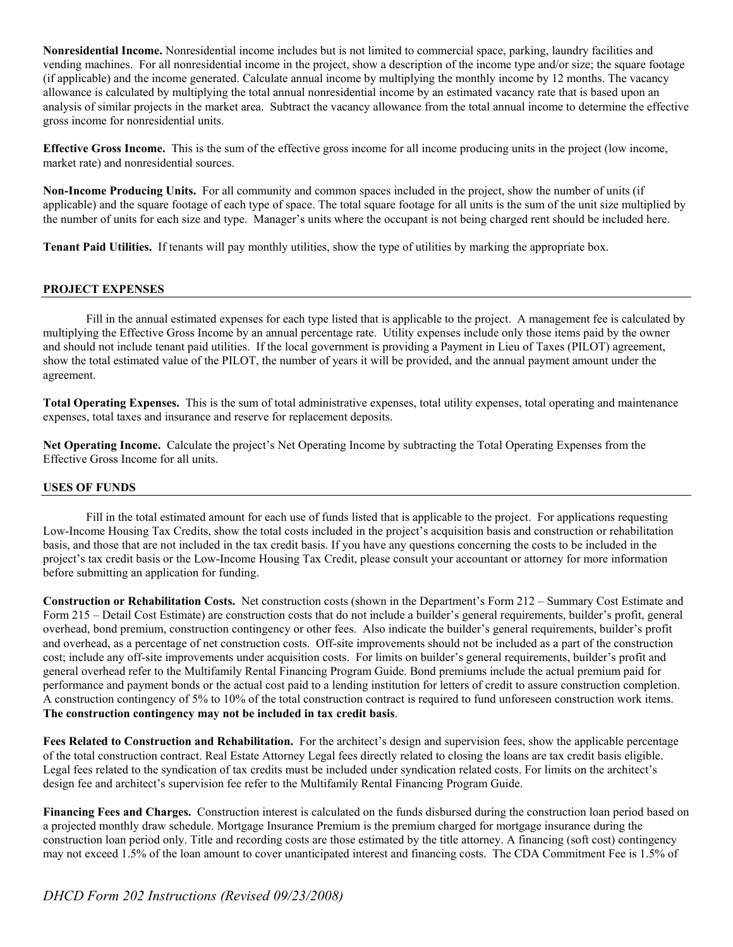**Nonresidential Income.** Nonresidential income includes but is not limited to commercial space, parking, laundry facilities and vending machines. For all nonresidential income in the project, show a description of the income type and/or size; the square footage (if applicable) and the income generated. Calculate annual income by multiplying the monthly income by 12 months. The vacancy allowance is calculated by multiplying the total annual nonresidential income by an estimated vacancy rate that is based upon an analysis of similar projects in the market area. Subtract the vacancy allowance from the total annual income to determine the effective gross income for nonresidential units.

**Effective Gross Income.** This is the sum of the effective gross income for all income producing units in the project (low income, market rate) and nonresidential sources.

**Non-Income Producing Units.** For all community and common spaces included in the project, show the number of units (if applicable) and the square footage of each type of space. The total square footage for all units is the sum of the unit size multiplied by the number of units for each size and type. Manager's units where the occupant is not being charged rent should be included here.

**Tenant Paid Utilities.** If tenants will pay monthly utilities, show the type of utilities by marking the appropriate box.

### **PROJECT EXPENSES**

Fill in the annual estimated expenses for each type listed that is applicable to the project. A management fee is calculated by multiplying the Effective Gross Income by an annual percentage rate. Utility expenses include only those items paid by the owner and should not include tenant paid utilities. If the local government is providing a Payment in Lieu of Taxes (PILOT) agreement, show the total estimated value of the PILOT, the number of years it will be provided, and the annual payment amount under the agreement.

**Total Operating Expenses.** This is the sum of total administrative expenses, total utility expenses, total operating and maintenance expenses, total taxes and insurance and reserve for replacement deposits.

**Net Operating Income.** Calculate the project's Net Operating Income by subtracting the Total Operating Expenses from the Effective Gross Income for all units.

### **USES OF FUNDS**

Fill in the total estimated amount for each use of funds listed that is applicable to the project. For applications requesting Low-Income Housing Tax Credits, show the total costs included in the project's acquisition basis and construction or rehabilitation basis, and those that are not included in the tax credit basis. If you have any questions concerning the costs to be included in the project's tax credit basis or the Low-Income Housing Tax Credit, please consult your accountant or attorney for more information before submitting an application for funding.

**Construction or Rehabilitation Costs.** Net construction costs (shown in the Department's Form 212 – Summary Cost Estimate and Form 215 – Detail Cost Estimate) are construction costs that do not include a builder's general requirements, builder's profit, general overhead, bond premium, construction contingency or other fees. Also indicate the builder's general requirements, builder's profit and overhead, as a percentage of net construction costs. Off-site improvements should not be included as a part of the construction cost; include any off-site improvements under acquisition costs. For limits on builder's general requirements, builder's profit and general overhead refer to the Multifamily Rental Financing Program Guide. Bond premiums include the actual premium paid for performance and payment bonds or the actual cost paid to a lending institution for letters of credit to assure construction completion. A construction contingency of 5% to 10% of the total construction contract is required to fund unforeseen construction work items. **The construction contingency may not be included in tax credit basis**.

**Fees Related to Construction and Rehabilitation.** For the architect's design and supervision fees, show the applicable percentage of the total construction contract. Real Estate Attorney Legal fees directly related to closing the loans are tax credit basis eligible. Legal fees related to the syndication of tax credits must be included under syndication related costs. For limits on the architect's design fee and architect's supervision fee refer to the Multifamily Rental Financing Program Guide.

**Financing Fees and Charges.** Construction interest is calculated on the funds disbursed during the construction loan period based on a projected monthly draw schedule. Mortgage Insurance Premium is the premium charged for mortgage insurance during the construction loan period only. Title and recording costs are those estimated by the title attorney. A financing (soft cost) contingency may not exceed 1.5% of the loan amount to cover unanticipated interest and financing costs. The CDA Commitment Fee is 1.5% of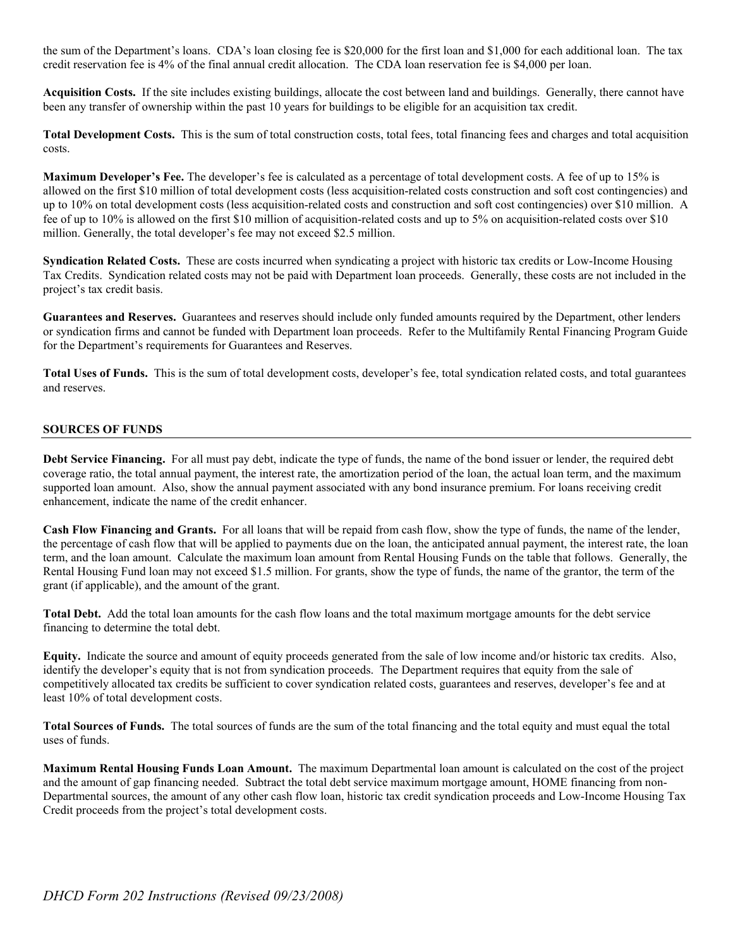the sum of the Department's loans. CDA's loan closing fee is \$20,000 for the first loan and \$1,000 for each additional loan. The tax credit reservation fee is 4% of the final annual credit allocation. The CDA loan reservation fee is \$4,000 per loan.

**Acquisition Costs.** If the site includes existing buildings, allocate the cost between land and buildings. Generally, there cannot have been any transfer of ownership within the past 10 years for buildings to be eligible for an acquisition tax credit.

**Total Development Costs.** This is the sum of total construction costs, total fees, total financing fees and charges and total acquisition costs.

**Maximum Developer's Fee.** The developer's fee is calculated as a percentage of total development costs. A fee of up to 15% is allowed on the first \$10 million of total development costs (less acquisition-related costs construction and soft cost contingencies) and up to 10% on total development costs (less acquisition-related costs and construction and soft cost contingencies) over \$10 million. A fee of up to 10% is allowed on the first \$10 million of acquisition-related costs and up to 5% on acquisition-related costs over \$10 million. Generally, the total developer's fee may not exceed \$2.5 million.

**Syndication Related Costs.** These are costs incurred when syndicating a project with historic tax credits or Low-Income Housing Tax Credits. Syndication related costs may not be paid with Department loan proceeds. Generally, these costs are not included in the project's tax credit basis.

**Guarantees and Reserves.** Guarantees and reserves should include only funded amounts required by the Department, other lenders or syndication firms and cannot be funded with Department loan proceeds. Refer to the Multifamily Rental Financing Program Guide for the Department's requirements for Guarantees and Reserves.

Total Uses of Funds. This is the sum of total development costs, developer's fee, total syndication related costs, and total guarantees and reserves.

#### **SOURCES OF FUNDS**

**Debt Service Financing.** For all must pay debt, indicate the type of funds, the name of the bond issuer or lender, the required debt coverage ratio, the total annual payment, the interest rate, the amortization period of the loan, the actual loan term, and the maximum supported loan amount. Also, show the annual payment associated with any bond insurance premium. For loans receiving credit enhancement, indicate the name of the credit enhancer.

**Cash Flow Financing and Grants.** For all loans that will be repaid from cash flow, show the type of funds, the name of the lender, the percentage of cash flow that will be applied to payments due on the loan, the anticipated annual payment, the interest rate, the loan term, and the loan amount. Calculate the maximum loan amount from Rental Housing Funds on the table that follows. Generally, the Rental Housing Fund loan may not exceed \$1.5 million. For grants, show the type of funds, the name of the grantor, the term of the grant (if applicable), and the amount of the grant.

**Total Debt.** Add the total loan amounts for the cash flow loans and the total maximum mortgage amounts for the debt service financing to determine the total debt.

**Equity.** Indicate the source and amount of equity proceeds generated from the sale of low income and/or historic tax credits. Also, identify the developer's equity that is not from syndication proceeds. The Department requires that equity from the sale of competitively allocated tax credits be sufficient to cover syndication related costs, guarantees and reserves, developer's fee and at least 10% of total development costs.

**Total Sources of Funds.** The total sources of funds are the sum of the total financing and the total equity and must equal the total uses of funds.

**Maximum Rental Housing Funds Loan Amount.** The maximum Departmental loan amount is calculated on the cost of the project and the amount of gap financing needed. Subtract the total debt service maximum mortgage amount, HOME financing from non-Departmental sources, the amount of any other cash flow loan, historic tax credit syndication proceeds and Low-Income Housing Tax Credit proceeds from the project's total development costs.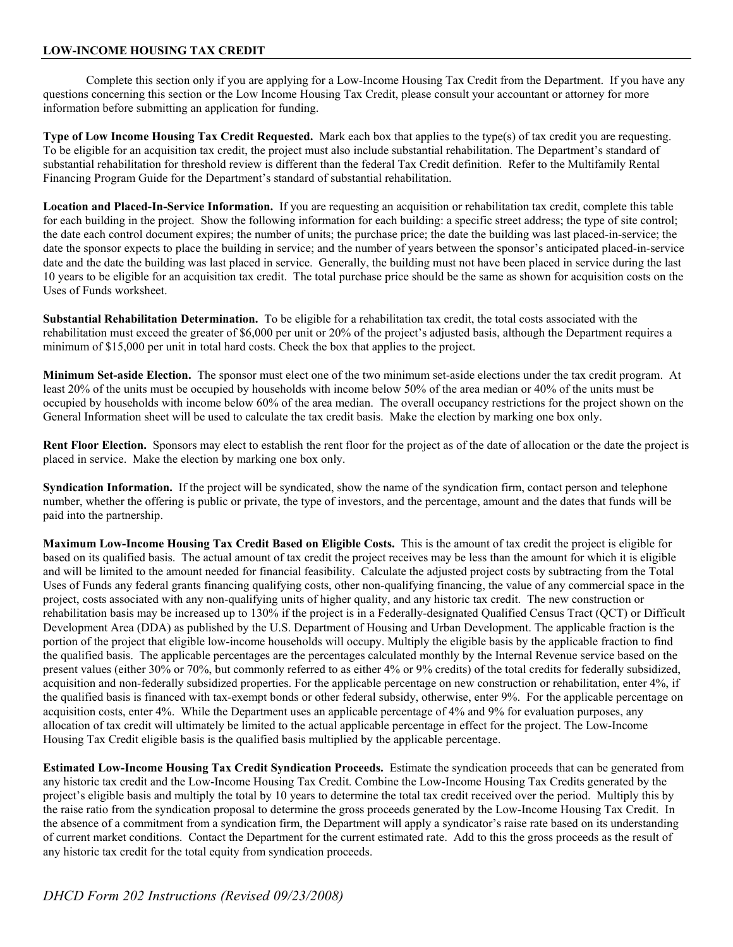### **LOW-INCOME HOUSING TAX CREDIT**

Complete this section only if you are applying for a Low-Income Housing Tax Credit from the Department. If you have any questions concerning this section or the Low Income Housing Tax Credit, please consult your accountant or attorney for more information before submitting an application for funding.

**Type of Low Income Housing Tax Credit Requested.** Mark each box that applies to the type(s) of tax credit you are requesting. To be eligible for an acquisition tax credit, the project must also include substantial rehabilitation. The Department's standard of substantial rehabilitation for threshold review is different than the federal Tax Credit definition. Refer to the Multifamily Rental Financing Program Guide for the Department's standard of substantial rehabilitation.

**Location and Placed-In-Service Information.** If you are requesting an acquisition or rehabilitation tax credit, complete this table for each building in the project. Show the following information for each building: a specific street address; the type of site control; the date each control document expires; the number of units; the purchase price; the date the building was last placed-in-service; the date the sponsor expects to place the building in service; and the number of years between the sponsor's anticipated placed-in-service date and the date the building was last placed in service. Generally, the building must not have been placed in service during the last 10 years to be eligible for an acquisition tax credit. The total purchase price should be the same as shown for acquisition costs on the Uses of Funds worksheet.

**Substantial Rehabilitation Determination.** To be eligible for a rehabilitation tax credit, the total costs associated with the rehabilitation must exceed the greater of \$6,000 per unit or 20% of the project's adjusted basis, although the Department requires a minimum of \$15,000 per unit in total hard costs. Check the box that applies to the project.

**Minimum Set-aside Election.** The sponsor must elect one of the two minimum set-aside elections under the tax credit program. At least 20% of the units must be occupied by households with income below 50% of the area median or 40% of the units must be occupied by households with income below 60% of the area median. The overall occupancy restrictions for the project shown on the General Information sheet will be used to calculate the tax credit basis. Make the election by marking one box only.

Rent Floor Election. Sponsors may elect to establish the rent floor for the project as of the date of allocation or the date the project is placed in service. Make the election by marking one box only.

**Syndication Information.** If the project will be syndicated, show the name of the syndication firm, contact person and telephone number, whether the offering is public or private, the type of investors, and the percentage, amount and the dates that funds will be paid into the partnership.

**Maximum Low-Income Housing Tax Credit Based on Eligible Costs.** This is the amount of tax credit the project is eligible for based on its qualified basis. The actual amount of tax credit the project receives may be less than the amount for which it is eligible and will be limited to the amount needed for financial feasibility. Calculate the adjusted project costs by subtracting from the Total Uses of Funds any federal grants financing qualifying costs, other non-qualifying financing, the value of any commercial space in the project, costs associated with any non-qualifying units of higher quality, and any historic tax credit. The new construction or rehabilitation basis may be increased up to 130% if the project is in a Federally-designated Qualified Census Tract (QCT) or Difficult Development Area (DDA) as published by the U.S. Department of Housing and Urban Development. The applicable fraction is the portion of the project that eligible low-income households will occupy. Multiply the eligible basis by the applicable fraction to find the qualified basis. The applicable percentages are the percentages calculated monthly by the Internal Revenue service based on the present values (either 30% or 70%, but commonly referred to as either 4% or 9% credits) of the total credits for federally subsidized, acquisition and non-federally subsidized properties. For the applicable percentage on new construction or rehabilitation, enter 4%, if the qualified basis is financed with tax-exempt bonds or other federal subsidy, otherwise, enter 9%. For the applicable percentage on acquisition costs, enter 4%. While the Department uses an applicable percentage of 4% and 9% for evaluation purposes, any allocation of tax credit will ultimately be limited to the actual applicable percentage in effect for the project. The Low-Income Housing Tax Credit eligible basis is the qualified basis multiplied by the applicable percentage.

**Estimated Low-Income Housing Tax Credit Syndication Proceeds.** Estimate the syndication proceeds that can be generated from any historic tax credit and the Low-Income Housing Tax Credit. Combine the Low-Income Housing Tax Credits generated by the project's eligible basis and multiply the total by 10 years to determine the total tax credit received over the period. Multiply this by the raise ratio from the syndication proposal to determine the gross proceeds generated by the Low-Income Housing Tax Credit. In the absence of a commitment from a syndication firm, the Department will apply a syndicator's raise rate based on its understanding of current market conditions. Contact the Department for the current estimated rate. Add to this the gross proceeds as the result of any historic tax credit for the total equity from syndication proceeds.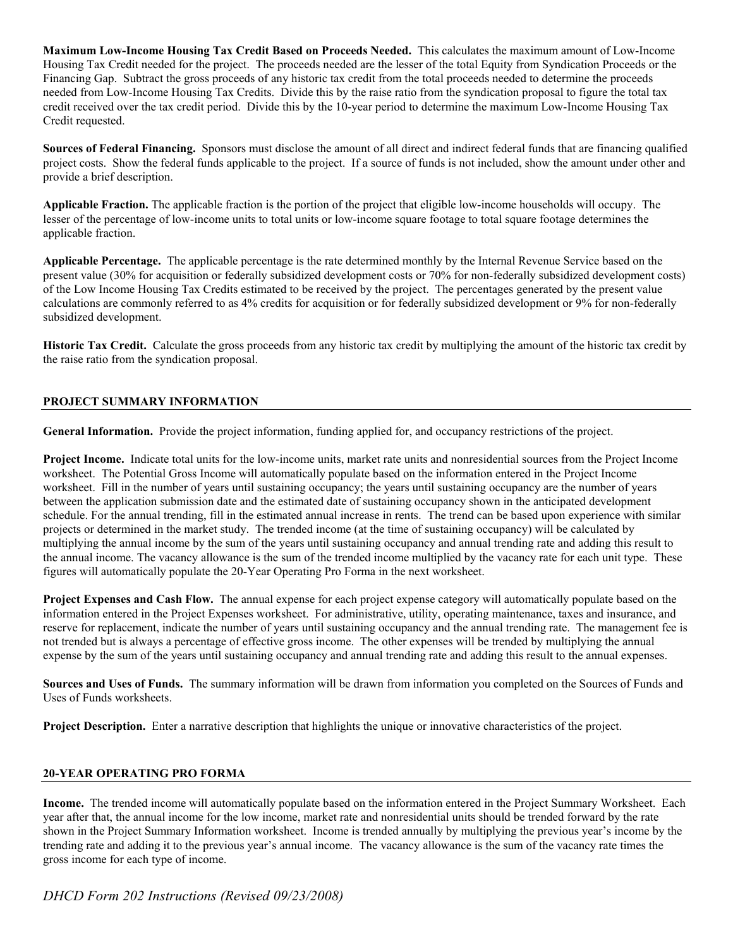**Maximum Low-Income Housing Tax Credit Based on Proceeds Needed.** This calculates the maximum amount of Low-Income Housing Tax Credit needed for the project. The proceeds needed are the lesser of the total Equity from Syndication Proceeds or the Financing Gap. Subtract the gross proceeds of any historic tax credit from the total proceeds needed to determine the proceeds needed from Low-Income Housing Tax Credits. Divide this by the raise ratio from the syndication proposal to figure the total tax credit received over the tax credit period. Divide this by the 10-year period to determine the maximum Low-Income Housing Tax Credit requested.

**Sources of Federal Financing.** Sponsors must disclose the amount of all direct and indirect federal funds that are financing qualified project costs. Show the federal funds applicable to the project. If a source of funds is not included, show the amount under other and provide a brief description.

**Applicable Fraction.** The applicable fraction is the portion of the project that eligible low-income households will occupy. The lesser of the percentage of low-income units to total units or low-income square footage to total square footage determines the applicable fraction.

**Applicable Percentage.** The applicable percentage is the rate determined monthly by the Internal Revenue Service based on the present value (30% for acquisition or federally subsidized development costs or 70% for non-federally subsidized development costs) of the Low Income Housing Tax Credits estimated to be received by the project. The percentages generated by the present value calculations are commonly referred to as 4% credits for acquisition or for federally subsidized development or 9% for non-federally subsidized development.

**Historic Tax Credit.** Calculate the gross proceeds from any historic tax credit by multiplying the amount of the historic tax credit by the raise ratio from the syndication proposal.

## **PROJECT SUMMARY INFORMATION**

**General Information.** Provide the project information, funding applied for, and occupancy restrictions of the project.

**Project Income.** Indicate total units for the low-income units, market rate units and nonresidential sources from the Project Income worksheet. The Potential Gross Income will automatically populate based on the information entered in the Project Income worksheet. Fill in the number of years until sustaining occupancy; the years until sustaining occupancy are the number of years between the application submission date and the estimated date of sustaining occupancy shown in the anticipated development schedule. For the annual trending, fill in the estimated annual increase in rents. The trend can be based upon experience with similar projects or determined in the market study. The trended income (at the time of sustaining occupancy) will be calculated by multiplying the annual income by the sum of the years until sustaining occupancy and annual trending rate and adding this result to the annual income. The vacancy allowance is the sum of the trended income multiplied by the vacancy rate for each unit type. These figures will automatically populate the 20-Year Operating Pro Forma in the next worksheet.

**Project Expenses and Cash Flow.** The annual expense for each project expense category will automatically populate based on the information entered in the Project Expenses worksheet. For administrative, utility, operating maintenance, taxes and insurance, and reserve for replacement, indicate the number of years until sustaining occupancy and the annual trending rate. The management fee is not trended but is always a percentage of effective gross income. The other expenses will be trended by multiplying the annual expense by the sum of the years until sustaining occupancy and annual trending rate and adding this result to the annual expenses.

**Sources and Uses of Funds.** The summary information will be drawn from information you completed on the Sources of Funds and Uses of Funds worksheets.

**Project Description.** Enter a narrative description that highlights the unique or innovative characteristics of the project.

## **20-YEAR OPERATING PRO FORMA**

**Income.** The trended income will automatically populate based on the information entered in the Project Summary Worksheet. Each year after that, the annual income for the low income, market rate and nonresidential units should be trended forward by the rate shown in the Project Summary Information worksheet. Income is trended annually by multiplying the previous year's income by the trending rate and adding it to the previous year's annual income. The vacancy allowance is the sum of the vacancy rate times the gross income for each type of income.

*DHCD Form 202 Instructions (Revised 09/23/2008)*